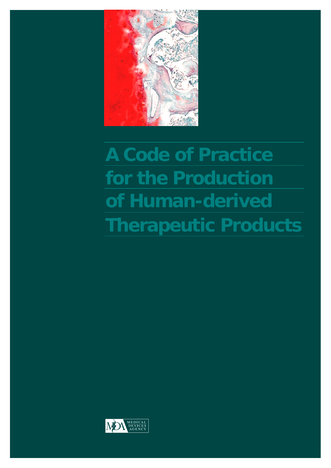

# **A Code of Practice for the Production of Human-derived Therapeutic Products**

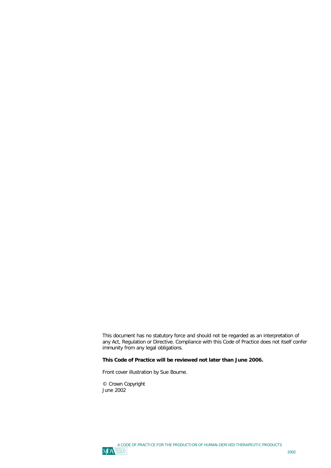This document has no statutory force and should not be regarded as an interpretation of any Act, Regulation or Directive. Compliance with this Code of Practice does not itself confer immunity from any legal obligations.

### **This Code of Practice will be reviewed not later than June 2006.**

Front cover illustration by Sue Bourne.

© Crown Copyright June 2002

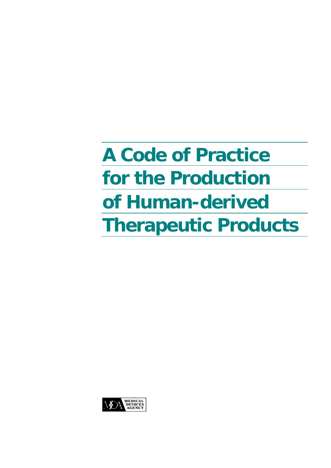# **A Code of Practice for the Production of Human-derived Therapeutic Products**

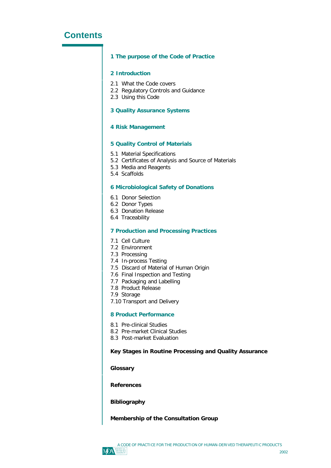# **Contents**

### **1 The purpose of the Code of Practice**

### **2 Introduction**

- 2.1 What the Code covers
- 2.2 Regulatory Controls and Guidance
- 2.3 Using this Code

### **3 Quality Assurance Systems**

### **4 Risk Management**

### **5 Quality Control of Materials**

- 5.1 Material Specifications
- 5.2 Certificates of Analysis and Source of Materials
- 5.3 Media and Reagents
- 5.4 Scaffolds

### **6 Microbiological Safety of Donations**

- 6.1 Donor Selection
- 6.2 Donor Types
- 6.3 Donation Release
- 6.4 Traceability

### **7 Production and Processing Practices**

- 7.1 Cell Culture
- 7.2 Environment
- 7.3 Processing
- 7.4 In-process Testing
- 7.5 Discard of Material of Human Origin
- 7.6 Final Inspection and Testing
- 7.7 Packaging and Labelling
- 7.8 Product Release
- 7.9 Storage
- 7.10 Transport and Delivery

### **8 Product Performance**

- 8.1 Pre-clinical Studies
- 8.2 Pre-market Clinical Studies
- 8.3 Post-market Evaluation

### **Key Stages in Routine Processing and Quality Assurance**

**Glossary**

**References**

### **Bibliography**

### **Membership of the Consultation Group**

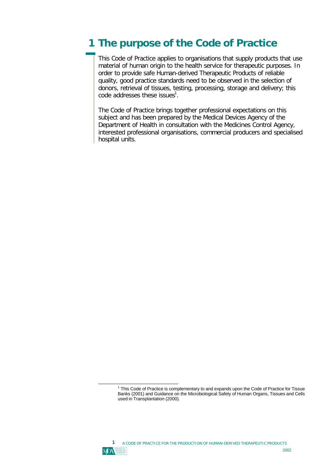# **1 The purpose of the Code of Practice**

This Code of Practice applies to organisations that supply products that use material of human origin to the health service for therapeutic purposes. In order to provide safe Human-derived Therapeutic Products of reliable quality, good practice standards need to be observed in the selection of donors, retrieval of tissues, testing, processing, storage and delivery; this code addresses these issues $^1$ .

The Code of Practice brings together professional expectations on this subject and has been prepared by the Medical Devices Agency of the Department of Health in consultation with the Medicines Control Agency, interested professional organisations, commercial producers and specialised hospital units.



<sup>&</sup>lt;sup>1</sup> This Code of Practice is complementary to and expands upon the Code of Practice for Tissue Banks (2001) and Guidance on the Microbiological Safety of Human Organs, Tissues and Cells used in Transplantation (2000).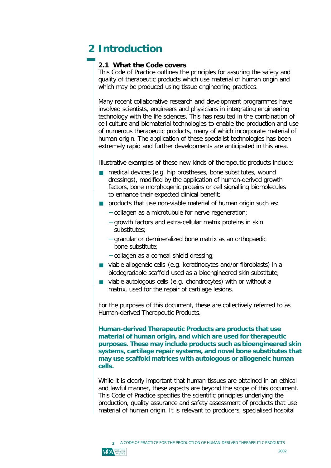# **2 Introduction**

# **2.1 What the Code covers**

This Code of Practice outlines the principles for assuring the safety and quality of therapeutic products which use material of human origin and which may be produced using tissue engineering practices.

Many recent collaborative research and development programmes have involved scientists, engineers and physicians in integrating engineering technology with the life sciences. This has resulted in the combination of cell culture and biomaterial technologies to enable the production and use of numerous therapeutic products, many of which incorporate material of human origin. The application of these specialist technologies has been extremely rapid and further developments are anticipated in this area.

Illustrative examples of these new kinds of therapeutic products include:

- medical devices (e.g. hip prostheses, bone substitutes, wound<br>dressings) modified by the application of human-derived grow dressings), modified by the application of human-derived growth factors, bone morphogenic proteins or cell signalling biomolecules to enhance their expected clinical benefit;
- **products that use non-viable material of human origin such as:** 
	- − collagen as a microtubule for nerve regeneration;
	- − growth factors and extra-cellular matrix proteins in skin substitutes;
	- − granular or demineralized bone matrix as an orthopaedic bone substitute;
	- − collagen as a corneal shield dressing;
- viable allogeneic cells (e.g. keratinocytes and/or fibroblasts) in a<br>biodegradable scaffeld used as a bioengineered skip substitute: biodegradable scaffold used as a bioengineered skin substitute;
- viable autologous cells (e.g. chondrocytes) with or without a<br>matrix used for the repair of cartilage losions matrix, used for the repair of cartilage lesions.

For the purposes of this document, these are collectively referred to as Human-derived Therapeutic Products.

*Human-derived Therapeutic Products are products that use material of human origin, and which are used for therapeutic purposes. These may include products such as bioengineered skin systems, cartilage repair systems, and novel bone substitutes that may use scaffold matrices with autologous or allogeneic human cells.*

While it is clearly important that human tissues are obtained in an ethical and lawful manner, these aspects are beyond the scope of this document. This Code of Practice specifies the scientific principles underlying the production, quality assurance and safety assessment of products that use material of human origin. It is relevant to producers, specialised hospital

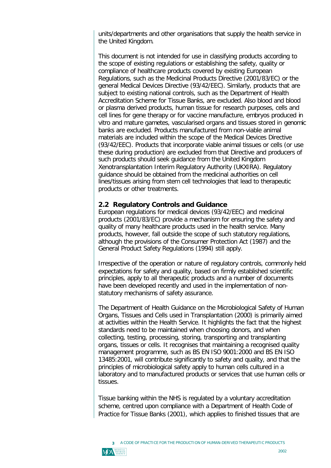units/departments and other organisations that supply the health service in the United Kingdom.

This document is not intended for use in classifying products according to the scope of existing regulations or establishing the safety, quality or compliance of healthcare products covered by existing European Regulations, such as the Medicinal Products Directive (2001/83/EC) or the general Medical Devices Directive (93/42/EEC). Similarly, products that are subject to existing national controls, such as the Department of Health Accreditation Scheme for Tissue Banks, are excluded. Also blood and blood or plasma derived products, human tissue for research purposes, cells and cell lines for gene therapy or for vaccine manufacture, embryos produced *in vitro* and mature gametes, vascularised organs and tissues stored in genomic banks are excluded. Products manufactured from non-viable animal materials are included within the scope of the Medical Devices Directive (93/42/EEC). Products that incorporate viable animal tissues or cells (or use these during production) are excluded from that Directive and producers of such products should seek guidance from the United Kingdom Xenotransplantation Interim Regulatory Authority (UKXIRA). Regulatory guidance should be obtained from the medicinal authorities on cell lines/tissues arising from stem cell technologies that lead to therapeutic products or other treatments.

### **2.2 Regulatory Controls and Guidance**

European regulations for medical devices (93/42/EEC) and medicinal products (2001/83/EC) provide a mechanism for ensuring the safety and quality of many healthcare products used in the health service. Many products, however, fall outside the scope of such statutory regulations, although the provisions of the Consumer Protection Act (1987) and the General Product Safety Regulations (1994) still apply.

Irrespective of the operation or nature of regulatory controls, commonly held expectations for safety and quality, based on firmly established scientific principles, apply to all therapeutic products and a number of documents have been developed recently and used in the implementation of nonstatutory mechanisms of safety assurance.

The Department of Health Guidance on the Microbiological Safety of Human Organs, Tissues and Cells used in Transplantation (2000) is primarily aimed at activities within the Health Service. It highlights the fact that the highest standards need to be maintained when choosing donors, and when collecting, testing, processing, storing, transporting and transplanting organs, tissues or cells. It recognises that maintaining a recognised quality management programme, such as BS EN ISO 9001:2000 and BS EN ISO 13485:2001, will contribute significantly to safety and quality, and that the principles of microbiological safety apply to human cells cultured in a laboratory and to manufactured products or services that use human cells or tissues.

Tissue banking within the NHS is regulated by a voluntary accreditation scheme, centred upon compliance with a Department of Health Code of Practice for Tissue Banks (2001), which applies to finished tissues that are

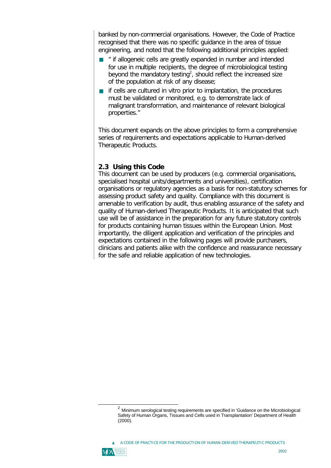banked by non-commercial organisations. However, the Code of Practice recognised that there was no specific guidance in the area of tissue engineering, and noted that the following additional principles applied:

- ß *" if allogeneic cells are greatly expanded in number and intended for use in multiple recipients, the degree of microbiological testing beyond the mandatory testing<sup>2</sup> , should reflect the increased size of the population at risk of any disease;*
- **if cells are cultured in vitro prior to implantation, the procedures**<br>must be validated or monitored, e.g. to demonstrate lack of *must be validated or monitored, e.g. to demonstrate lack of malignant transformation, and maintenance of relevant biological properties."*

This document expands on the above principles to form a comprehensive series of requirements and expectations applicable to Human-derived Therapeutic Products.

# **2.3 Using this Code**

This document can be used by producers (e.g. commercial organisations, specialised hospital units/departments and universities), certification organisations or regulatory agencies as a basis for non-statutory schemes for assessing product safety and quality. Compliance with this document is amenable to verification by audit, thus enabling assurance of the safety and quality of Human-derived Therapeutic Products. It is anticipated that such use will be of assistance in the preparation for any future statutory controls for products containing human tissues within the European Union. Most importantly, the diligent application and verification of the principles and expectations contained in the following pages will provide purchasers, clinicians and patients alike with the confidence and reassurance necessary for the safe and reliable application of new technologies.

A CODE OF PRACTICE FOR THE PRODUCTION OF HUMAN-DERIVED THERAPEUTIC PRODUCTS **4**



 $^2$  Minimum serological testing requirements are specified in 'Guidance on the Microbiological Safety of Human Organs, Tissues and Cells used in Transplantation' Department of Health (2000).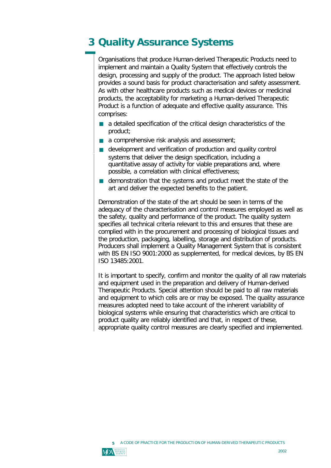# **3 Quality Assurance Systems**

Organisations that produce Human-derived Therapeutic Products need to implement and maintain a Quality System that effectively controls the design, processing and supply of the product. The approach listed below provides a sound basis for product characterisation and safety assessment. As with other healthcare products such as medical devices or medicinal products, the acceptability for marketing a Human-derived Therapeutic Product is a function of adequate and effective quality assurance. This comprises:

- a detailed specification of the critical design characteristics of the product: product;
- a comprehensive risk analysis and assessment;
- development and verification of production and quality control<br>systems that deliver the design specification, including a systems that deliver the design specification, including a quantitative assay of activity for viable preparations and, where possible, a correlation with clinical effectiveness;
- demonstration that the systems and product meet the state of the art and deliver the expected benefits to the patient art and deliver the expected benefits to the patient.

Demonstration of the state of the art should be seen in terms of the adequacy of the characterisation and control measures employed as well as the safety, quality and performance of the product. The quality system specifies all technical criteria relevant to this and ensures that these are complied with in the procurement and processing of biological tissues and the production, packaging, labelling, storage and distribution of products. Producers shall implement a Quality Management System that is consistent with BS EN ISO 9001:2000 as supplemented, for medical devices, by BS EN ISO 13485:2001.

It is important to specify, confirm and monitor the quality of all raw materials and equipment used in the preparation and delivery of Human-derived Therapeutic Products. Special attention should be paid to all raw materials and equipment to which cells are or may be exposed. The quality assurance measures adopted need to take account of the inherent variability of biological systems while ensuring that characteristics which are critical to product quality are reliably identified and that, in respect of these, appropriate quality control measures are clearly specified and implemented.

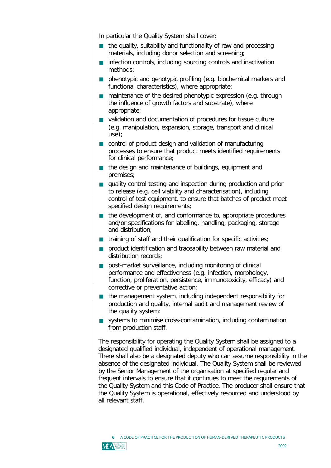In particular the Quality System shall cover:

- the quality, suitability and functionality of raw and processing<br>materials, including dopor selection and screening: materials, including donor selection and screening;
- Infection controls, including sourcing controls and inactivation<br>methods: methods;
- phenotypic and genotypic profiling (e.g. biochemical markers and<br>functional characteristics), where appropriate: functional characteristics), where appropriate;
- maintenance of the desired phenotypic expression (e.g. through<br>the influence of growth factors and substrate), where the influence of growth factors and substrate), where appropriate;
- validation and documentation of procedures for tissue culture (e.g. manipulation, expansion, storage, transport and clinical use);
- **n** control of product design and validation of manufacturing<br>processes to ensure that product meets identified require processes to ensure that product meets identified requirements for clinical performance;
- the design and maintenance of buildings, equipment and<br>nremises: premises;
- quality control testing and inspection during production and prior<br>to release (e.g. cell viability and characterisation), including to release (e.g. cell viability and characterisation), including control of test equipment, to ensure that batches of product meet specified design requirements;
- the development of, and conformance to, appropriate procedures and/or specifications for labelling, handling, packaging, storage and distribution;
- training of staff and their qualification for specific activities;
- **product identification and traceability between raw material and distribution records:** distribution records;
- **post-market surveillance, including monitoring of clinical**<br>nerformance and effectiveness (e.g. infection, morphology performance and effectiveness (e.g. infection, morphology, function, proliferation, persistence, immunotoxicity, efficacy) and corrective or preventative action;
- the management system, including independent responsibility for<br>production and quality, internal audit and management review of production and quality, internal audit and management review of the quality system;
- systems to minimise cross-contamination, including contamination<br>from production staff from production staff.

The responsibility for operating the Quality System shall be assigned to a designated qualified individual, independent of operational management. There shall also be a designated deputy who can assume responsibility in the absence of the designated individual. The Quality System shall be reviewed by the Senior Management of the organisation at specified regular and frequent intervals to ensure that it continues to meet the requirements of the Quality System and this Code of Practice. The producer shall ensure that the Quality System is operational, effectively resourced and understood by all relevant staff.



A CODE OF PRACTICE FOR THE PRODUCTION OF HUMAN-DERIVED THERAPEUTIC PRODUCTS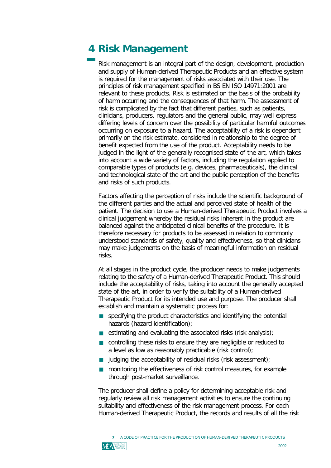# **4 Risk Management**

Risk management is an integral part of the design, development, production and supply of Human-derived Therapeutic Products and an effective system is required for the management of risks associated with their use. The principles of risk management specified in BS EN ISO 14971:2001 are relevant to these products. Risk is estimated on the basis of the probability of harm occurring and the consequences of that harm. The assessment of risk is complicated by the fact that different parties, such as patients, clinicians, producers, regulators and the general public, may well express differing levels of concern over the possibility of particular harmful outcomes occurring on exposure to a hazard. The acceptability of a risk is dependent primarily on the risk estimate, considered in relationship to the degree of benefit expected from the use of the product. Acceptability needs to be judged in the light of the generally recognised state of the art, which takes into account a wide variety of factors, including the regulation applied to comparable types of products (e.g. devices, pharmaceuticals), the clinical and technological state of the art and the public perception of the benefits and risks of such products.

Factors affecting the perception of risks include the scientific background of the different parties and the actual and perceived state of health of the patient. The decision to use a Human-derived Therapeutic Product involves a clinical judgement whereby the residual risks inherent in the product are balanced against the anticipated clinical benefits of the procedure. It is therefore necessary for products to be assessed in relation to commonly understood standards of safety, quality and effectiveness, so that clinicians may make judgements on the basis of meaningful information on residual risks.

At all stages in the product cycle, the producer needs to make judgements relating to the safety of a Human-derived Therapeutic Product. This should include the acceptability of risks, taking into account the generally accepted state of the art, in order to verify the suitability of a Human-derived Therapeutic Product for its intended use and purpose. The producer shall establish and maintain a systematic process for:

- ß specifying the product characteristics and identifying the potential hazards (hazard identification);
- estimating and evaluating the associated risks (risk analysis);
- controlling these risks to ensure they are negligible or reduced to a level as low as reasonably practicable (risk control);
- **judging the acceptability of residual risks (risk assessment);**
- ß monitoring the effectiveness of risk control measures, for example through post-market surveillance.

The producer shall define a policy for determining acceptable risk and regularly review all risk management activities to ensure the continuing suitability and effectiveness of the risk management process. For each Human-derived Therapeutic Product, the records and results of all the risk

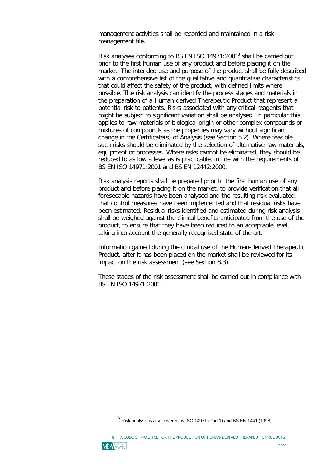management activities shall be recorded and maintained in a risk management file.

Risk analyses conforming to BS EN ISO 14971:2001 $3$  shall be carried out prior to the first human use of any product and before placing it on the market. The intended use and purpose of the product shall be fully described with a comprehensive list of the qualitative and quantitative characteristics that could affect the safety of the product, with defined limits where possible. The risk analysis can identify the process stages and materials in the preparation of a Human-derived Therapeutic Product that represent a potential risk to patients. Risks associated with any critical reagents that might be subject to significant variation shall be analysed. In particular this applies to raw materials of biological origin or other complex compounds or mixtures of compounds as the properties may vary without significant change in the Certificate(s) of Analysis (see Section 5.2). Where feasible such risks should be eliminated by the selection of alternative raw materials, equipment or processes. Where risks cannot be eliminated, they should be reduced to as low a level as is practicable, in line with the requirements of BS EN ISO 14971:2001 and BS EN 12442:2000.

Risk analysis reports shall be prepared prior to the first human use of any product and before placing it on the market, to provide verification that all foreseeable hazards have been analysed and the resulting risk evaluated, that control measures have been implemented and that residual risks have been estimated. Residual risks identified and estimated during risk analysis shall be weighed against the clinical benefits anticipated from the use of the product, to ensure that they have been reduced to an acceptable level, taking into account the generally recognised state of the art.

Information gained during the clinical use of the Human-derived Therapeutic Product, after it has been placed on the market shall be reviewed for its impact on the risk assessment (see Section 8.3).

These stages of the risk assessment shall be carried out in compliance with BS EN ISO 14971:2001.

A CODE OF PRACTICE FOR THE PRODUCTION OF HUMAN-DERIVED THERAPEUTIC PRODUCTS



 $^3$  Risk analysis is also covered by ISO 14971 (Part 1) and BS EN 1441 (1998).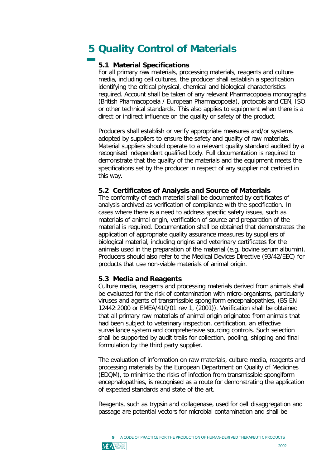# **5 Quality Control of Materials**

# **5.1 Material Specifications**

For all primary raw materials, processing materials, reagents and culture media, including cell cultures, the producer shall establish a specification identifying the critical physical, chemical and biological characteristics required. Account shall be taken of any relevant Pharmacopoeia monographs (British Pharmacopoeia / European Pharmacopoeia), protocols and CEN, ISO or other technical standards*.* This also applies to equipment when there is a direct or indirect influence on the quality or safety of the product.

Producers shall establish or verify appropriate measures and/or systems adopted by suppliers to ensure the safety and quality of raw materials. Material suppliers should operate to a relevant quality standard audited by a recognised independent qualified body. Full documentation is required to demonstrate that the quality of the materials and the equipment meets the specifications set by the producer in respect of any supplier not certified in this way.

# **5.2 Certificates of Analysis and Source of Materials**

The conformity of each material shall be documented by certificates of analysis archived as verification of compliance with the specification. In cases where there is a need to address specific safety issues, such as materials of animal origin, verification of source and preparation of the material is required. Documentation shall be obtained that demonstrates the application of appropriate quality assurance measures by suppliers of biological material, including origins and veterinary certificates for the animals used in the preparation of the material (e.g. bovine serum albumin). Producers should also refer to the Medical Devices Directive (93/42/EEC) for products that use non-viable materials of animal origin.

# **5.3 Media and Reagents**

Culture media, reagents and processing materials derived from animals shall be evaluated for the risk of contamination with micro-organisms, particularly viruses and agents of transmissible spongiform encephalopathies, (BS EN 12442:2000 or EMEA/410/01 rev 1, (2001)). Verification shall be obtained that all primary raw materials of animal origin originated from animals that had been subject to veterinary inspection, certification, an effective surveillance system and comprehensive sourcing controls. Such selection shall be supported by audit trails for collection, pooling, shipping and final formulation by the third party supplier.

The evaluation of information on raw materials, culture media, reagents and processing materials by the European Department on Quality of Medicines (EDQM), to minimise the risks of infection from transmissible spongiform encephalopathies, is recognised as a route for demonstrating the application of expected standards and state of the art.

Reagents, such as trypsin and collagenase, used for cell disaggregation and passage are potential vectors for microbial contamination and shall be



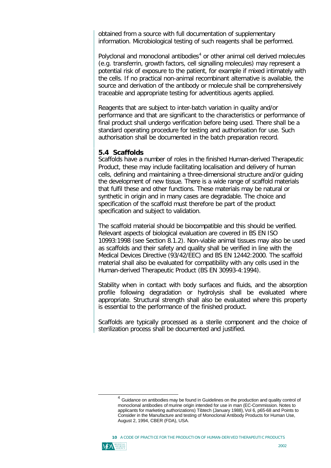obtained from a source with full documentation of supplementary information. Microbiological testing of such reagents shall be performed.

Polyclonal and monoclonal antibodies<sup>4</sup> or other animal cell derived molecules (e.g. transferrin, growth factors, cell signalling molecules) may represent a potential risk of exposure to the patient, for example if mixed intimately with the cells. If no practical non-animal recombinant alternative is available, the source and derivation of the antibody or molecule shall be comprehensively traceable and appropriate testing for adventitious agents applied.

Reagents that are subject to inter-batch variation in quality and/or performance and that are significant to the characteristics or performance of final product shall undergo verification before being used. There shall be a standard operating procedure for testing and authorisation for use. Such authorisation shall be documented in the batch preparation record.

### **5.4 Scaffolds**

Scaffolds have a number of roles in the finished Human-derived Therapeutic Product, these may include facilitating localisation and delivery of human cells, defining and maintaining a three-dimensional structure and/or guiding the development of new tissue. There is a wide range of scaffold materials that fulfil these and other functions. These materials may be natural or synthetic in origin and in many cases are degradable. The choice and specification of the scaffold must therefore be part of the product specification and subject to validation.

The scaffold material should be biocompatible and this should be verified. Relevant aspects of biological evaluation are covered in BS EN ISO 10993:1998 (see Section 8.1.2). Non-viable animal tissues may also be used as scaffolds and their safety and quality shall be verified in line with the Medical Devices Directive (93/42/EEC) and BS EN 12442:2000. The scaffold material shall also be evaluated for compatibility with any cells used in the Human-derived Therapeutic Product (BS EN 30993-4:1994).

Stability when in contact with body surfaces and fluids, and the absorption profile following degradation or hydrolysis shall be evaluated where appropriate. Structural strength shall also be evaluated where this property is essential to the performance of the finished product.

Scaffolds are typically processed as a sterile component and the choice of sterilization process shall be documented and justified.

10 A CODE OF PRACTICE FOR THE PRODUCTION OF HUMAN-DERIVED THERAPEUTIC PRODUCTS



 $<sup>4</sup>$  Guidance on antibodies may be found in Guidelines on the production and quality control of</sup> monoclonal antibodies of murine origin intended for use in man (EC-Commission. Notes to applicants for marketing authorizations) Tibtech (January 1988), Vol 6, p65-68 and Points to Consider in the Manufacture and testing of Monoclonal Antibody Products for Human Use, August 2, 1994, CBER (FDA), USA.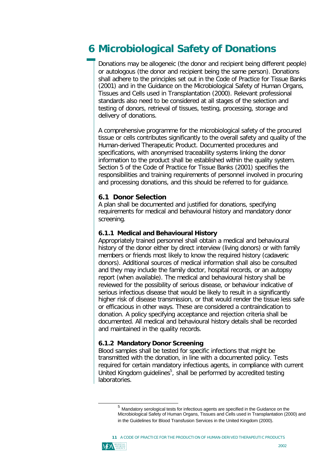# **6 Microbiological Safety of Donations**

Donations may be allogeneic (the donor and recipient being different people) or autologous (the donor and recipient being the same person). Donations shall adhere to the principles set out in the Code of Practice for Tissue Banks (2001) and in the Guidance on the Microbiological Safety of Human Organs, Tissues and Cells used in Transplantation (2000). Relevant professional standards also need to be considered at all stages of the selection and testing of donors, retrieval of tissues, testing, processing, storage and delivery of donations.

A comprehensive programme for the microbiological safety of the procured tissue or cells contributes significantly to the overall safety and quality of the Human-derived Therapeutic Product. Documented procedures and specifications, with anonymised traceability systems linking the donor information to the product shall be established within the quality system. Section 5 of the Code of Practice for Tissue Banks (2001) specifies the responsibilities and training requirements of personnel involved in procuring and processing donations, and this should be referred to for guidance.

# **6.1 Donor Selection**

A plan shall be documented and justified for donations, specifying requirements for medical and behavioural history and mandatory donor screening.

# **6.1.1 Medical and Behavioural History**

Appropriately trained personnel shall obtain a medical and behavioural history of the donor either by direct interview (living donors) or with family members or friends most likely to know the required history (cadaveric donors). Additional sources of medical information shall also be consulted and they may include the family doctor, hospital records, or an autopsy report (when available). The medical and behavioural history shall be reviewed for the possibility of serious disease, or behaviour indicative of serious infectious disease that would be likely to result in a significantly higher risk of disease transmission, or that would render the tissue less safe or efficacious in other ways. These are considered a contraindication to donation. A policy specifying acceptance and rejection criteria shall be documented. All medical and behavioural history details shall be recorded and maintained in the quality records.

# **6.1.2 Mandatory Donor Screening**

Blood samples shall be tested for specific infections that might be transmitted with the donation, in line with a documented policy. Tests required for certain mandatory infectious agents, in compliance with current United Kingdom guidelines<sup>5</sup>, shall be performed by accredited testing laboratories.

11 A CODE OF PRACTICE FOR THE PRODUCTION OF HUMAN-DERIVED THERAPEUTIC PRODUCTS



<sup>&</sup>lt;sup>5</sup> Mandatory serological tests for infectious agents are specified in the Guidance on the Microbiological Safety of Human Organs, Tissues and Cells used in Transplantation (2000) and in the Guidelines for Blood Transfusion Services in the United Kingdom (2000).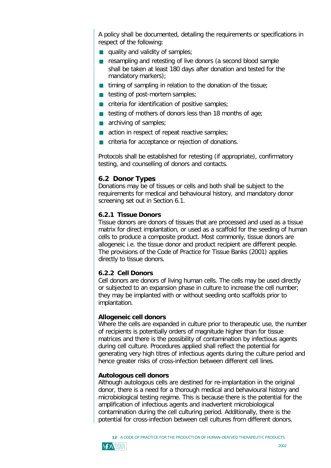A policy shall be documented, detailing the requirements or specifications in respect of the following:

- quality and validity of samples;
- resampling and retesting of live donors (a second blood sample<br>shall be taken at least 190 days after donation and tested for the shall be taken at least 180 days after donation and tested for the mandatory markers);
- timing of sampling in relation to the donation of the tissue;
- $\blacksquare$  testing of post-mortem samples;
- criteria for identification of positive samples;
- testing of mothers of donors less than 18 months of age;
- archiving of samples;
- action in respect of repeat reactive samples;
- ß criteria for acceptance or rejection of donations.

Protocols shall be established for retesting (if appropriate), confirmatory testing, and counselling of donors and contacts.

# **6.2 Donor Types**

Donations may be of tissues or cells and both shall be subject to the requirements for medical and behavioural history, and mandatory donor screening set out in Section 6.1.

# **6.2.1 Tissue Donors**

Tissue donors are donors of tissues that are processed and used as a tissue matrix for direct implantation, or used as a scaffold for the seeding of human cells to produce a composite product. Most commonly, tissue donors are allogeneic i.e. the tissue donor and product recipient are different people. The provisions of the Code of Practice for Tissue Banks (2001) applies directly to tissue donors.

# **6.2.2 Cell Donors**

Cell donors are donors of living human cells. The cells may be used directly or subjected to an expansion phase in culture to increase the cell number; they may be implanted with or without seeding onto scaffolds prior to implantation.

### **Allogeneic cell donors**

Where the cells are expanded in culture prior to therapeutic use, the number of recipients is potentially orders of magnitude higher than for tissue matrices and there is the possibility of contamination by infectious agents during cell culture. Procedures applied shall reflect the potential for generating very high titres of infectious agents during the culture period and hence greater risks of cross-infection between different cell lines.

### **Autologous cell donors**

Although autologous cells are destined for re-implantation in the original donor, there is a need for a thorough medical and behavioural history and microbiological testing regime. This is because there is the potential for the amplification of infectious agents and inadvertent microbiological contamination during the cell culturing period. Additionally, there is the potential for cross-infection between cell cultures from different donors.

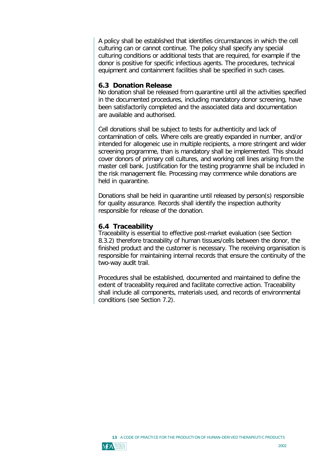A policy shall be established that identifies circumstances in which the cell culturing can or cannot continue. The policy shall specify any special culturing conditions or additional tests that are required, for example if the donor is positive for specific infectious agents. The procedures, technical equipment and containment facilities shall be specified in such cases.

# **6.3 Donation Release**

No donation shall be released from quarantine until all the activities specified in the documented procedures, including mandatory donor screening, have been satisfactorily completed and the associated data and documentation are available and authorised.

Cell donations shall be subject to tests for authenticity and lack of contamination of cells. Where cells are greatly expanded in number, and/or intended for allogeneic use in multiple recipients, a more stringent and wider screening programme, than is mandatory shall be implemented. This should cover donors of primary cell cultures, and working cell lines arising from the master cell bank. Justification for the testing programme shall be included in the risk management file. Processing may commence while donations are held in quarantine.

Donations shall be held in quarantine until released by person(s) responsible for quality assurance. Records shall identify the inspection authority responsible for release of the donation.

### **6.4 Traceability**

Traceability is essential to effective post-market evaluation (see Section 8.3.2) therefore traceability of human tissues/cells between the donor, the finished product and the customer is necessary. The receiving organisation is responsible for maintaining internal records that ensure the continuity of the two-way audit trail.

Procedures shall be established, documented and maintained to define the extent of traceability required and facilitate corrective action. Traceability shall include all components, materials used, and records of environmental conditions (see Section 7.2).

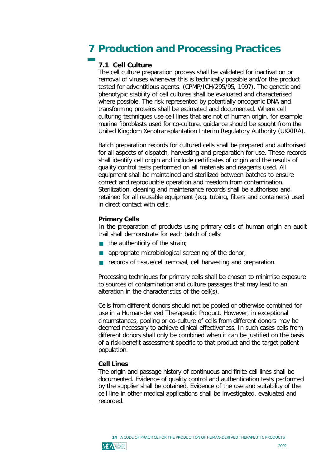# **7 Production and Processing Practices**

# **7.1 Cell Culture**

The cell culture preparation process shall be validated for inactivation or removal of viruses whenever this is technically possible and/or the product tested for adventitious agents. (CPMP/ICH/295/95, 1997). The genetic and phenotypic stability of cell cultures shall be evaluated and characterised where possible. The risk represented by potentially oncogenic DNA and transforming proteins shall be estimated and documented. Where cell culturing techniques use cell lines that are not of human origin, for example murine fibroblasts used for co-culture, guidance should be sought from the United Kingdom Xenotransplantation Interim Regulatory Authority (UKXIRA).

Batch preparation records for cultured cells shall be prepared and authorised for all aspects of dispatch, harvesting and preparation for use. These records shall identify cell origin and include certificates of origin and the results of quality control tests performed on all materials and reagents used. All equipment shall be maintained and sterilized between batches to ensure correct and reproducible operation and freedom from contamination. Sterilization, cleaning and maintenance records shall be authorised and retained for all reusable equipment (e.g. tubing, filters and containers) used in direct contact with cells.

# **Primary Cells**

In the preparation of products using primary cells of human origin an audit trail shall demonstrate for each batch of cells:

- ß the authenticity of the strain;
- **appropriate microbiological screening of the donor;**
- ß records of tissue/cell removal, cell harvesting and preparation.

Processing techniques for primary cells shall be chosen to minimise exposure to sources of contamination and culture passages that may lead to an alteration in the characteristics of the cell(s).

Cells from different donors should not be pooled or otherwise combined for use in a Human-derived Therapeutic Product. However, in exceptional circumstances, pooling or co-culture of cells from different donors may be deemed necessary to achieve clinical effectiveness. In such cases cells from different donors shall only be combined when it can be justified on the basis of a risk-benefit assessment specific to that product and the target patient population.

### **Cell Lines**

The origin and passage history of continuous and finite cell lines shall be documented. Evidence of quality control and authentication tests performed by the supplier shall be obtained. Evidence of the use and suitability of the cell line in other medical applications shall be investigated, evaluated and recorded.



A CODE OF PRACTICE FOR THE PRODUCTION OF HUMAN-DERIVED THERAPEUTIC PRODUCTS **14**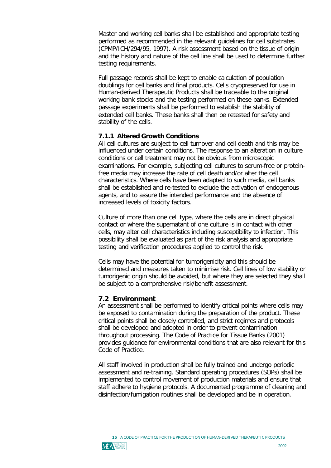Master and working cell banks shall be established and appropriate testing performed as recommended in the relevant guidelines for cell substrates (CPMP/ICH/294/95, 1997). A risk assessment based on the tissue of origin and the history and nature of the cell line shall be used to determine further testing requirements.

Full passage records shall be kept to enable calculation of population doublings for cell banks and final products. Cells cryopreserved for use in Human-derived Therapeutic Products shall be traceable to the original working bank stocks and the testing performed on these banks. Extended passage experiments shall be performed to establish the stability of extended cell banks. These banks shall then be retested for safety and stability of the cells.

# **7.1.1 Altered Growth Conditions**

All cell cultures are subject to cell turnover and cell death and this may be influenced under certain conditions. The response to an alteration in culture conditions or cell treatment may not be obvious from microscopic examinations. For example, subjecting cell cultures to serum-free or proteinfree media may increase the rate of cell death and/or alter the cell characteristics. Where cells have been adapted to such media, cell banks shall be established and re-tested to exclude the activation of endogenous agents, and to assure the intended performance and the absence of increased levels of toxicity factors.

Culture of more than one cell type, where the cells are in direct physical contact or where the supernatant of one culture is in contact with other cells, may alter cell characteristics including susceptibility to infection. This possibility shall be evaluated as part of the risk analysis and appropriate testing and verification procedures applied to control the risk.

Cells may have the potential for tumorigenicity and this should be determined and measures taken to minimise risk. Cell lines of low stability or tumorigenic origin should be avoided, but where they are selected they shall be subject to a comprehensive risk/benefit assessment.

# **7.2 Environment**

An assessment shall be performed to identify critical points where cells may be exposed to contamination during the preparation of the product. These critical points shall be closely controlled, and strict regimes and protocols shall be developed and adopted in order to prevent contamination throughout processing. The Code of Practice for Tissue Banks (2001) provides guidance for environmental conditions that are also relevant for this Code of Practice.

All staff involved in production shall be fully trained and undergo periodic assessment and re-training. Standard operating procedures (SOPs) shall be implemented to control movement of production materials and ensure that staff adhere to hygiene protocols. A documented programme of cleaning and disinfection/fumigation routines shall be developed and be in operation.



15 A CODE OF PRACTICE FOR THE PRODUCTION OF HUMAN-DERIVED THERAPEUTIC PRODUCTS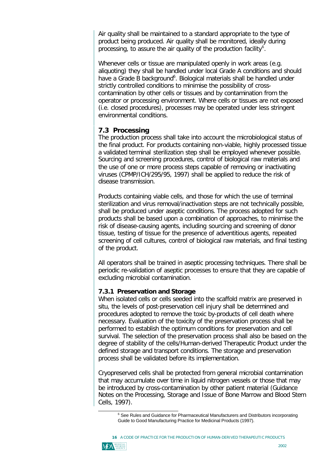Air quality shall be maintained to a standard appropriate to the type of product being produced. Air quality shall be monitored, ideally during processing, to assure the air quality of the production facility<sup>6</sup>.

Whenever cells or tissue are manipulated openly in work areas (e.g. aliquoting) they shall be handled under local Grade A conditions and should have a Grade B background<sup>6</sup>. Biological materials shall be handled under strictly controlled conditions to minimise the possibility of crosscontamination by other cells or tissues and by contamination from the operator or processing environment. Where cells or tissues are not exposed (i.e. closed procedures), processes may be operated under less stringent environmental conditions.

# **7.3 Processing**

The production process shall take into account the microbiological status of the final product. For products containing non-viable, highly processed tissue a validated terminal sterilization step shall be employed whenever possible. Sourcing and screening procedures, control of biological raw materials and the use of one or more process steps capable of removing or inactivating viruses (CPMP/ICH/295/95, 1997) shall be applied to reduce the risk of disease transmission.

Products containing viable cells, and those for which the use of terminal sterilization and virus removal/inactivation steps are not technically possible, shall be produced under aseptic conditions. The process adopted for such products shall be based upon a combination of approaches, to minimise the risk of disease-causing agents, including sourcing and screening of donor tissue, testing of tissue for the presence of adventitious agents, repeated screening of cell cultures, control of biological raw materials, and final testing of the product.

All operators shall be trained in aseptic processing techniques. There shall be periodic re-validation of aseptic processes to ensure that they are capable of excluding microbial contamination.

### **7.3.1 Preservation and Storage**

When isolated cells or cells seeded into the scaffold matrix are preserved *in situ*, the levels of post-preservation cell injury shall be determined and procedures adopted to remove the toxic by-products of cell death where necessary. Evaluation of the toxicity of the preservation process shall be performed to establish the optimum conditions for preservation and cell survival. The selection of the preservation process shall also be based on the degree of stability of the cells/Human-derived Therapeutic Product under the defined storage and transport conditions. The storage and preservation process shall be validated before its implementation.

Cryopreserved cells shall be protected from general microbial contamination that may accumulate over time in liquid nitrogen vessels or those that may be introduced by cross-contamination by other patient material (Guidance Notes on the Processing, Storage and Issue of Bone Marrow and Blood Stem Cells, 1997).

16 A CODE OF PRACTICE FOR THE PRODUCTION OF HUMAN-DERIVED THERAPEUTIC PRODUCTS



<sup>&</sup>lt;sup>6</sup> See Rules and Guidance for Pharmaceutical Manufacturers and Distributors incorporating Guide to Good Manufacturing Practice for Medicinal Products (1997).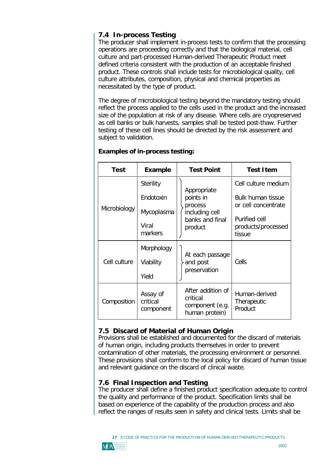# **7.4 In-process Testing**

The producer shall implement in-process tests to confirm that the processing operations are proceeding correctly and that the biological material, cell culture and part-processed Human-derived Therapeutic Product meet defined criteria consistent with the production of an acceptable finished product. These controls shall include tests for microbiological quality, cell culture attributes, composition, physical and chemical properties as necessitated by the type of product.

The degree of microbiological testing beyond the mandatory testing should reflect the process applied to the cells used in the product and the increased size of the population at risk of any disease. Where cells are cryopreserved as cell banks or bulk harvests, samples shall be tested post-thaw. Further testing of these cell lines should be directed by the risk assessment and subject to validation.

| <b>Test</b>  | <b>Example</b>                    | <b>Test Point</b>                                                                   | <b>Test Item</b>                              |
|--------------|-----------------------------------|-------------------------------------------------------------------------------------|-----------------------------------------------|
| Microbiology | <b>Sterility</b>                  | Appropriate<br>points in<br>process<br>including cell<br>banks and final<br>product | Cell culture medium                           |
|              | Endotoxin                         |                                                                                     | <b>Bulk human tissue</b>                      |
|              | Mycoplasma                        |                                                                                     | or cell concentrate                           |
|              | Viral<br>markers                  |                                                                                     | Purified cell<br>products/processed<br>tissue |
| Cell culture | Morphology                        | At each passage<br>and post<br>preservation                                         | Cells                                         |
|              | Viability                         |                                                                                     |                                               |
|              | Yield                             |                                                                                     |                                               |
| Composition  | Assay of<br>critical<br>component | After addition of<br>critical<br>component (e.g.<br>human protein)                  | Human-derived<br>Therapeutic<br>Product       |

# **Examples of in-process testing:**

# **7.5 Discard of Material of Human Origin**

Provisions shall be established and documented for the discard of materials of human origin, including products themselves in order to prevent contamination of other materials, the processing environment or personnel. These provisions shall conform to the local policy for discard of human tissue and relevant guidance on the discard of clinical waste.

# **7.6 Final Inspection and Testing**

The producer shall define a finished product specification adequate to control the quality and performance of the product. Specification limits shall be based on experience of the capability of the production process and also reflect the ranges of results seen in safety and clinical tests. Limits shall be



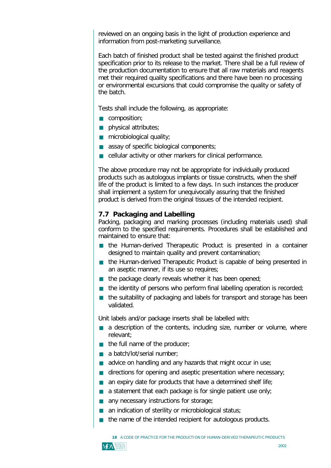reviewed on an ongoing basis in the light of production experience and information from post-marketing surveillance.

Each batch of finished product shall be tested against the finished product specification prior to its release to the market. There shall be a full review of the production documentation to ensure that all raw materials and reagents met their required quality specifications and there have been no processing or environmental excursions that could compromise the quality or safety of the batch.

Tests shall include the following, as appropriate:

- composition;
- **physical attributes;**
- microbiological quality;
- assay of specific biological components;
- ß cellular activity or other markers for clinical performance.

The above procedure may not be appropriate for individually produced products such as autologous implants or tissue constructs, when the shelf life of the product is limited to a few days. In such instances the producer shall implement a system for unequivocally assuring that the finished product is derived from the original tissues of the intended recipient.

### **7.7 Packaging and Labelling**

Packing, packaging and marking processes (including materials used) shall conform to the specified requirements. Procedures shall be established and maintained to ensure that:

- the Human-derived Therapeutic Product is presented in a container<br>designed to maintain quality and prevent contamination: designed to maintain quality and prevent contamination;
- the Human-derived Therapeutic Product is capable of being presented in<br>an asentic manner, if its use so requires: an aseptic manner, if its use so requires;
- the package clearly reveals whether it has been opened;
- $\blacksquare$  the identity of persons who perform final labelling operation is recorded;<br> $\blacksquare$  the collective of exclusive and labelle features and and the collection has
- the suitability of packaging and labels for transport and storage has been<br>validated validated.

Unit labels and/or package inserts shall be labelled with:

- a description of the contents, including size, number or volume, where<br>relevant: relevant;
- $\blacksquare$  the full name of the producer;
- a batch/lot/serial number;
- advice on handling and any hazards that might occur in use;
- directions for opening and aseptic presentation where necessary;
- an expiry date for products that have a determined shelf life;
- a statement that each package is for single patient use only;
- **any necessary instructions for storage;**
- $\Box$ an indication of sterility or microbiological status;
- ß the name of the intended recipient for autologous products.

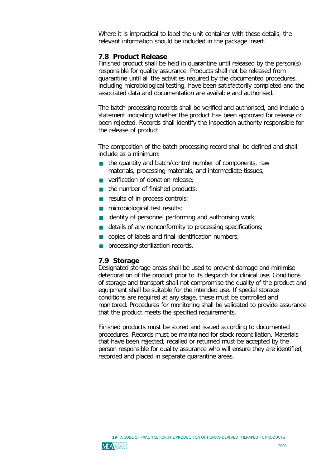Where it is impractical to label the unit container with these details, the relevant information should be included in the package insert.

# **7.8 Product Release**

Finished product shall be held in quarantine until released by the person(s) responsible for quality assurance. Products shall not be released from quarantine until all the activities required by the documented procedures, including microbiological testing, have been satisfactorily completed and the associated data and documentation are available and authorised.

The batch processing records shall be verified and authorised, and include a statement indicating whether the product has been approved for release or been rejected. Records shall identify the inspection authority responsible for the release of product.

The composition of the batch processing record shall be defined and shall include as a minimum:

- the quantity and batch/control number of components, raw<br>materials, processing materials, and intermediate tissues: materials, processing materials, and intermediate tissues;
- verification of donation release;<br>  $\overline{a}$  the contract of state that the double
- $\blacksquare$  the number of finished products;
- **results of in-process controls;**
- $\blacksquare$  microbiological test results;
- identity of personnel performing and authorising work;
- details of any nonconformity to processing specifications;
- $\Box$ copies of labels and final identification numbers;
- **processing/sterilization records.**

# **7.9 Storage**

Designated storage areas shall be used to prevent damage and minimise deterioration of the product prior to its despatch for clinical use. Conditions of storage and transport shall not compromise the quality of the product and equipment shall be suitable for the intended use. If special storage conditions are required at any stage, these must be controlled and monitored. Procedures for monitoring shall be validated to provide assurance that the product meets the specified requirements.

Finished products must be stored and issued according to documented procedures. Records must be maintained for stock reconciliation. Materials that have been rejected, recalled or returned must be accepted by the person responsible for quality assurance who will ensure they are identified, recorded and placed in separate quarantine areas.

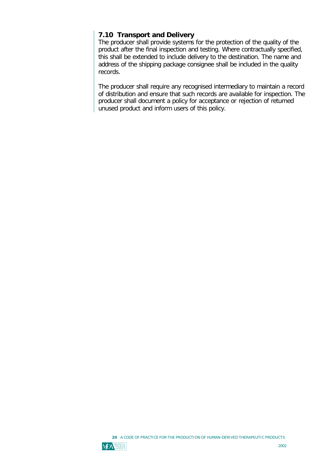# **7.10 Transport and Delivery**

The producer shall provide systems for the protection of the quality of the product after the final inspection and testing. Where contractually specified, this shall be extended to include delivery to the destination. The name and address of the shipping package consignee shall be included in the quality records.

The producer shall require any recognised intermediary to maintain a record of distribution and ensure that such records are available for inspection. The producer shall document a policy for acceptance or rejection of returned unused product and inform users of this policy.



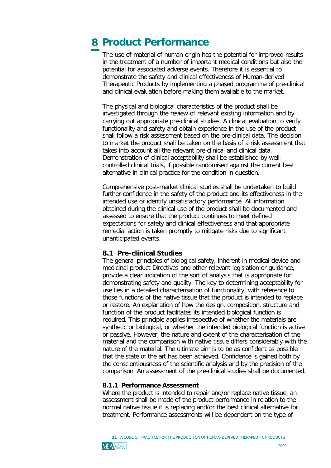# **8 Product Performance**

The use of material of human origin has the potential for improved results in the treatment of a number of important medical conditions but also the potential for associated adverse events. Therefore it is essential to demonstrate the safety and clinical effectiveness of Human-derived Therapeutic Products by implementing a phased programme of pre-clinical and clinical evaluation before making them available to the market.

The physical and biological characteristics of the product shall be investigated through the review of relevant existing information and by carrying out appropriate pre-clinical studies. A clinical evaluation to verify functionality and safety and obtain experience in the use of the product shall follow a risk assessment based on the pre-clinical data. The decision to market the product shall be taken on the basis of a risk assessment that takes into account all the relevant pre-clinical and clinical data. Demonstration of clinical acceptability shall be established by wellcontrolled clinical trials, if possible randomised against the current best alternative in clinical practice for the condition in question.

Comprehensive post-market clinical studies shall be undertaken to build further confidence in the safety of the product and its effectiveness in the intended use or identify unsatisfactory performance. All information obtained during the clinical use of the product shall be documented and assessed to ensure that the product continues to meet defined expectations for safety and clinical effectiveness and that appropriate remedial action is taken promptly to mitigate risks due to significant unanticipated events.

# **8.1 Pre-clinical Studies**

The general principles of biological safety, inherent in medical device and medicinal product Directives and other relevant legislation or guidance, provide a clear indication of the sort of analysis that is appropriate for demonstrating safety and quality. The key to determining acceptability for use lies in a detailed characterisation of functionality, with reference to those functions of the native tissue that the product is intended to replace or restore. An explanation of how the design, composition, structure and function of the product facilitates its intended biological function is required. This principle applies irrespective of whether the materials are synthetic or biological, or whether the intended biological function is active or passive. However, the nature and extent of the characterisation of the material and the comparison with native tissue differs considerably with the nature of the material. The ultimate aim is to be as confident as possible that the state of the art has been achieved. Confidence is gained both by the conscientiousness of the scientific analysis and by the precision of the comparison. An assessment of the pre-clinical studies shall be documented.

### **8.1.1 Performance Assessment**

Where the product is intended to repair and/or replace native tissue, an assessment shall be made of the product performance in relation to the normal native tissue it is replacing and/or the best clinical alternative for treatment. Performance assessments will be dependent on the type of



A CODE OF PRACTICE FOR THE PRODUCTION OF HUMAN-DERIVED THERAPEUTIC PRODUCTS **21**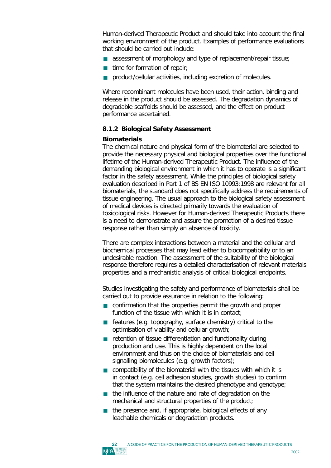Human-derived Therapeutic Product and should take into account the final working environment of the product. Examples of performance evaluations that should be carried out include:

- **assessment of morphology and type of replacement/repair tissue;**
- $\blacksquare$  time for formation of repair;
- **product/cellular activities, including excretion of molecules.**

Where recombinant molecules have been used, their action, binding and release in the product should be assessed. The degradation dynamics of degradable scaffolds should be assessed, and the effect on product performance ascertained.

# **8.1.2 Biological Safety Assessment**

# **Biomaterials**

The chemical nature and physical form of the biomaterial are selected to provide the necessary physical and biological properties over the functional lifetime of the Human-derived Therapeutic Product. The influence of the demanding biological environment in which it has to operate is a significant factor in the safety assessment. While the principles of biological safety evaluation described in Part 1 of BS EN ISO 10993:1998 are relevant for all biomaterials, the standard does not specifically address the requirements of tissue engineering. The usual approach to the biological safety assessment of medical devices is directed primarily towards the evaluation of toxicological risks. However for Human-derived Therapeutic Products there is a need to demonstrate and assure the promotion of a desired tissue response rather than simply an absence of toxicity.

There are complex interactions between a material and the cellular and biochemical processes that may lead either to biocompatibility or to an undesirable reaction. The assessment of the suitability of the biological response therefore requires a detailed characterisation of relevant materials properties and a mechanistic analysis of critical biological endpoints.

Studies investigating the safety and performance of biomaterials shall be carried out to provide assurance in relation to the following:

- **confirmation that the properties permit the growth and proper** function of the tissue with which it is in contact. function of the tissue with which it is in contact;
- **F** features (e.g. topography, surface chemistry) critical to the optimisation of viability and cellular growth: optimisation of viability and cellular growth;
- retention of tissue differentiation and functionality during<br>exactly the and use. This is bigbly dependent on the local production and use. This is highly dependent on the local environment and thus on the choice of biomaterials and cell signalling biomolecules (e.g. growth factors);
- compatibility of the biomaterial with the tissues with which it is<br>in contact (e.g. cell adhesion studies, growth studies) to confirm in contact (e.g. cell adhesion studies, growth studies) to confirm that the system maintains the desired phenotype and genotype;
- the influence of the nature and rate of degradation on the mechanical and structural properties of the product: mechanical and structural properties of the product;
- ß the presence and, if appropriate, biological effects of any leachable chemicals or degradation products.

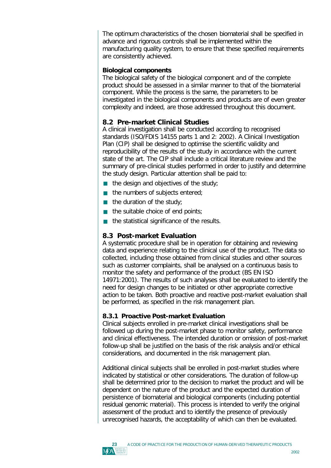The optimum characteristics of the chosen biomaterial shall be specified in advance and rigorous controls shall be implemented within the manufacturing quality system, to ensure that these specified requirements are consistently achieved.

# **Biological components**

The biological safety of the biological component and of the complete product should be assessed in a similar manner to that of the biomaterial component. While the process is the same, the parameters to be investigated in the biological components and products are of even greater complexity and indeed, are those addressed throughout this document.

# **8.2 Pre-market Clinical Studies**

A clinical investigation shall be conducted according to recognised standards (ISO/FDIS 14155 parts 1 and 2: 2002). A Clinical Investigation Plan (CIP) shall be designed to optimise the scientific validity and reproducibility of the results of the study in accordance with the current state of the art. The CIP shall include a critical literature review and the summary of pre-clinical studies performed in order to justify and determine the study design. Particular attention shall be paid to:

- $\blacksquare$  the design and objectives of the study;
- $\blacksquare$  the numbers of subjects entered;
- $\blacksquare$  the duration of the study;
- $\blacksquare$  the suitable choice of end points;
- the statistical significance of the results.

# **8.3 Post-market Evaluation**

A systematic procedure shall be in operation for obtaining and reviewing data and experience relating to the clinical use of the product. The data so collected, including those obtained from clinical studies and other sources such as customer complaints, shall be analysed on a continuous basis to monitor the safety and performance of the product (BS EN ISO 14971:2001). The results of such analyses shall be evaluated to identify the need for design changes to be initiated or other appropriate corrective action to be taken. Both proactive and reactive post-market evaluation shall be performed, as specified in the risk management plan.

# **8.3.1 Proactive Post-market Evaluation**

Clinical subjects enrolled in pre-market clinical investigations shall be followed up during the post-market phase to monitor safety, performance and clinical effectiveness. The intended duration or omission of post-market follow-up shall be justified on the basis of the risk analysis and/or ethical considerations, and documented in the risk management plan.

Additional clinical subjects shall be enrolled in post-market studies where indicated by statistical or other considerations. The duration of follow-up shall be determined prior to the decision to market the product and will be dependent on the nature of the product and the expected duration of persistence of biomaterial and biological components (including potential residual genomic material). This process is intended to verify the original assessment of the product and to identify the presence of previously unrecognised hazards, the acceptability of which can then be evaluated.

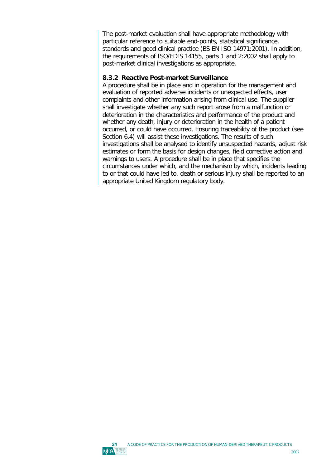The post-market evaluation shall have appropriate methodology with particular reference to suitable end-points, statistical significance, standards and good clinical practice (BS EN ISO 14971:2001). In addition, the requirements of ISO/FDIS 14155, parts 1 and 2:2002 shall apply to post-market clinical investigations as appropriate.

### **8.3.2 Reactive Post-market Surveillance**

A procedure shall be in place and in operation for the management and evaluation of reported adverse incidents or unexpected effects, user complaints and other information arising from clinical use. The supplier shall investigate whether any such report arose from a malfunction or deterioration in the characteristics and performance of the product and whether any death, injury or deterioration in the health of a patient occurred, or could have occurred. Ensuring traceability of the product (see Section 6.4) will assist these investigations. The results of such investigations shall be analysed to identify unsuspected hazards, adjust risk estimates or form the basis for design changes, field corrective action and warnings to users. A procedure shall be in place that specifies the circumstances under which, and the mechanism by which, incidents leading to or that could have led to, death or serious injury shall be reported to an appropriate United Kingdom regulatory body.

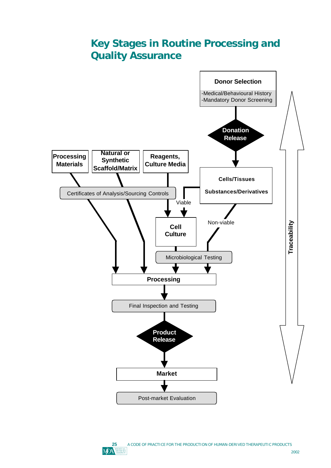# **Key Stages in Routine Processing and Quality Assurance**



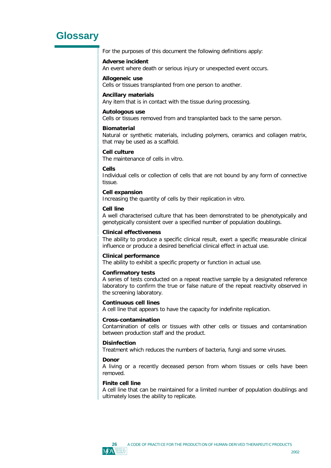# **Glossary**

For the purposes of this document the following definitions apply:

### **Adverse incident**

An event where death or serious injury or unexpected event occurs.

### **Allogeneic use**

Cells or tissues transplanted from one person to another.

### **Ancillary materials**

Any item that is in contact with the tissue during processing.

### **Autologous use**

Cells or tissues removed from and transplanted back to the same person.

### **Biomaterial**

Natural or synthetic materials, including polymers, ceramics and collagen matrix, that may be used as a scaffold.

### **Cell culture**

The maintenance of cells *in vitro*.

### **Cells**

Individual cells or collection of cells that are not bound by any form of connective tissue.

### **Cell expansion**

Increasing the quantity of cells by their replication *in vitro*.

### **Cell line**

A well characterised culture that has been demonstrated to be phenotypically and genotypically consistent over a specified number of population doublings.

### **Clinical effectiveness**

The ability to produce a specific clinical result, exert a specific measurable clinical influence or produce a desired beneficial clinical effect in actual use.

### **Clinical performance**

The ability to exhibit a specific property or function in actual use.

### **Confirmatory tests**

A series of tests conducted on a repeat reactive sample by a designated reference laboratory to confirm the true or false nature of the repeat reactivity observed in the screening laboratory.

### **Continuous cell lines**

A cell line that appears to have the capacity for indefinite replication.

### **Cross-contamination**

Contamination of cells or tissues with other cells or tissues and contamination between production staff and the product.

### **Disinfection**

Treatment which reduces the numbers of bacteria, fungi and some viruses.

### **Donor**

A living or a recently deceased person from whom tissues or cells have been removed.

### **Finite cell line**

A cell line that can be maintained for a limited number of population doublings and ultimately loses the ability to replicate.

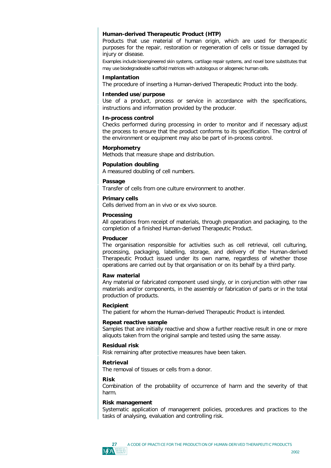### **Human-derived Therapeutic Product (HTP)**

Products that use material of human origin, which are used for therapeutic purposes for the repair, restoration or regeneration of cells or tissue damaged by injury or disease.

Examples include bioengineered skin systems, cartilage repair systems, and novel bone substitutes that may use biodegradeable scaffold matrices with autologous or allogeneic human cells.

#### **Implantation**

The procedure of inserting a Human-derived Therapeutic Product into the body.

#### **Intended use/purpose**

Use of a product, process or service in accordance with the specifications, instructions and information provided by the producer.

#### **In-process control**

Checks performed during processing in order to monitor and if necessary adjust the process to ensure that the product conforms to its specification. The control of the environment or equipment may also be part of in-process control.

#### **Morphometry**

Methods that measure shape and distribution.

#### **Population doubling**

A measured doubling of cell numbers.

### **Passage**

Transfer of cells from one culture environment to another.

#### **Primary cells**

Cells derived from an in vivo or ex vivo source.

### **Processing**

All operations from receipt of materials, through preparation and packaging, to the completion of a finished Human-derived Therapeutic Product.

#### **Producer**

The organisation responsible for activities such as cell retrieval, cell culturing, processing, packaging, labelling, storage, and delivery of the Human-derived Therapeutic Product issued under its own name, regardless of whether those operations are carried out by that organisation or on its behalf by a third party.

#### **Raw material**

Any material or fabricated component used singly, or in conjunction with other raw materials and/or components, in the assembly or fabrication of parts or in the total production of products.

#### **Recipient**

The patient for whom the Human-derived Therapeutic Product is intended.

#### **Repeat reactive sample**

Samples that are initially reactive and show a further reactive result in one or more aliquots taken from the original sample and tested using the same assay.

#### **Residual risk**

Risk remaining after protective measures have been taken.

### **Retrieval**

The removal of tissues or cells from a donor.

### **Risk**

Combination of the probability of occurrence of harm and the severity of that harm.

#### **Risk management**

Systematic application of management policies, procedures and practices to the tasks of analysing, evaluation and controlling risk.

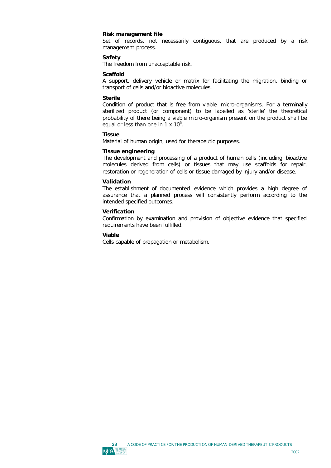### **Risk management file**

Set of records, not necessarily contiguous, that are produced by a risk management process.

### **Safety**

The freedom from unacceptable risk.

### **Scaffold**

A support, delivery vehicle or matrix for facilitating the migration, binding or transport of cells and/or bioactive molecules.

### **Sterile**

Condition of product that is free from viable micro-organisms. For a terminally sterilized product (or component) to be labelled as 'sterile' the theoretical probability of there being a viable micro-organism present on the product shall be equal or less than one in  $1 \times 10^6$ .

### **Tissue**

Material of human origin, used for therapeutic purposes.

### **Tissue engineering**

The development and processing of a product of human cells (including bioactive molecules derived from cells) or tissues that may use scaffolds for repair, restoration or regeneration of cells or tissue damaged by injury and/or disease.

### **Validation**

The establishment of documented evidence which provides a high degree of assurance that a planned process will consistently perform according to the intended specified outcomes.

### **Verification**

Confirmation by examination and provision of objective evidence that specified requirements have been fulfilled.

### **Viable**

Cells capable of propagation or metabolism.

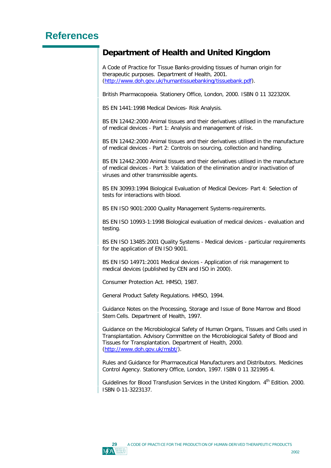# **References**

# **Department of Health and United Kingdom**

A Code of Practice for Tissue Banks-providing tissues of human origin for therapeutic purposes. Department of Health, 2001. [\(http://www.doh.gov.uk/humantissuebanking/tissuebank.pdf\).](http://www.doh.gov.uk/humantissuebanking/tissuebank.pdf)

British Pharmacopoeia. Stationery Office, London, 2000. ISBN 0 11 322320X.

BS EN 1441:1998 Medical Devices- Risk Analysis.

BS EN 12442:2000 Animal tissues and their derivatives utilised in the manufacture of medical devices - Part 1: Analysis and management of risk.

BS EN 12442:2000 Animal tissues and their derivatives utilised in the manufacture of medical devices - Part 2: Controls on sourcing, collection and handling.

BS EN 12442:2000 Animal tissues and their derivatives utilised in the manufacture of medical devices - Part 3: Validation of the elimination and/or inactivation of viruses and other transmissible agents.

BS EN 30993:1994 Biological Evaluation of Medical Devices- Part 4: Selection of tests for interactions with blood.

BS EN ISO 9001:2000 Quality Management Systems-requirements.

BS EN ISO 10993-1:1998 Biological evaluation of medical devices - evaluation and testing.

BS EN ISO 13485:2001 Quality Systems - Medical devices - particular requirements for the application of EN ISO 9001.

BS EN ISO 14971:2001 Medical devices - Application of risk management to medical devices (published by CEN and ISO in 2000).

Consumer Protection Act. HMSO, 1987.

General Product Safety Regulations. HMSO, 1994.

Guidance Notes on the Processing, Storage and Issue of Bone Marrow and Blood Stem Cells. Department of Health, 1997.

Guidance on the Microbiological Safety of Human Organs, Tissues and Cells used in Transplantation. Advisory Committee on the Microbiological Safety of Blood and Tissues for Transplantation. Department of Health, 2000. [\(http://www.doh.gov.uk/msbt/\).](http://www.doh.gov.uk/msbt/)

Rules and Guidance for Pharmaceutical Manufacturers and Distributors. Medicines Control Agency. Stationery Office, London, 1997. ISBN 0 11 321995 4.

Guidelines for Blood Transfusion Services in the United Kingdom. 4<sup>th</sup> Edition. 2000. ISBN 0-11-3223137.

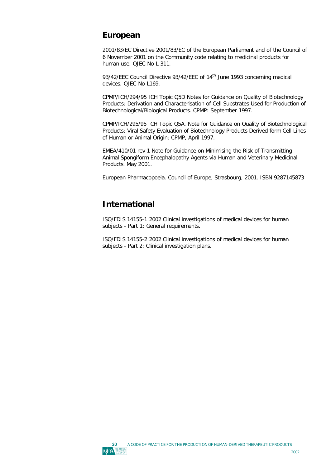# **European**

2001/83/EC Directive 2001/83/EC of the European Parliament and of the Council of 6 November 2001 on the Community code relating to medicinal products for human use. OJEC No L 311.

93/42/EEC Council Directive 93/42/EEC of 14<sup>th</sup> June 1993 concerning medical devices. OJEC No L169.

CPMP/ICH/294/95 ICH Topic Q5D Notes for Guidance on Quality of Biotechnology Products: Derivation and Characterisation of Cell Substrates Used for Production of Biotechnological/Biological Products. CPMP: September 1997.

CPMP/ICH/295/95 ICH Topic Q5A. Note for Guidance on Quality of Biotechnological Products: Viral Safety Evaluation of Biotechnology Products Derived form Cell Lines of Human or Animal Origin; CPMP, April 1997.

EMEA/410/01 rev 1 Note for Guidance on Minimising the Risk of Transmitting Animal Spongiform Encephalopathy Agents via Human and Veterinary Medicinal Products. May 2001.

European Pharmacopoeia. Council of Europe, Strasbourg, 2001. ISBN 9287145873

# **International**

ISO/FDIS 14155-1:2002 Clinical investigations of medical devices for human subjects - Part 1: General requirements.

ISO/FDIS 14155-2:2002 Clinical investigations of medical devices for human subjects - Part 2: Clinical investigation plans.

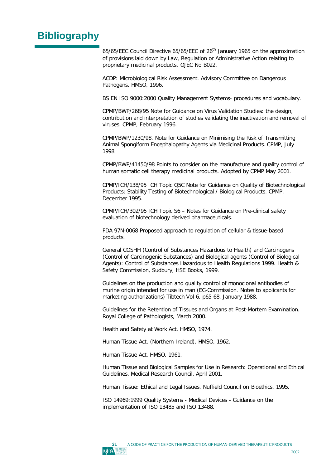# **Bibliography**

65/65/EEC Council Directive 65/65/EEC of 26<sup>th</sup> January 1965 on the approximation of provisions laid down by Law, Regulation or Administrative Action relating to proprietary medicinal products. OJEC No B022.

ACDP: Microbiological Risk Assessment. Advisory Committee on Dangerous Pathogens. HMSO, 1996.

BS EN ISO 9000:2000 Quality Management Systems- procedures and vocabulary.

CPMP/BWP/268/95 Note for Guidance on Virus Validation Studies: the design, contribution and interpretation of studies validating the inactivation and removal of viruses. CPMP, February 1996.

CPMP/BWP/1230/98. Note for Guidance on Minimising the Risk of Transmitting Animal Spongiform Encephalopathy Agents via Medicinal Products. CPMP, July 1998.

CPMP/BWP/41450/98 Points to consider on the manufacture and quality control of human somatic cell therapy medicinal products. Adopted by CPMP May 2001.

CPMP/ICH/138/95 ICH Topic Q5C Note for Guidance on Quality of Biotechnological Products: Stability Testing of Biotechnological / Biological Products. CPMP, December 1995.

CPMP/ICH/302/95 ICH Topic S6 – Notes for Guidance on Pre-clinical safety evaluation of biotechnology derived pharmaceuticals.

FDA 97N-0068 Proposed approach to regulation of cellular & tissue-based products.

General COSHH (Control of Substances Hazardous to Health) and Carcinogens (Control of Carcinogenic Substances) and Biological agents (Control of Biological Agents): Control of Substances Hazardous to Health Regulations 1999. Health & Safety Commission, Sudbury, HSE Books, 1999.

Guidelines on the production and quality control of monoclonal antibodies of murine origin intended for use in man (EC-Commission. Notes to applicants for marketing authorizations) Tibtech Vol 6, p65-68. January 1988.

Guidelines for the Retention of Tissues and Organs at Post-Mortem Examination. Royal College of Pathologists, March 2000.

Health and Safety at Work Act. HMSO, 1974.

Human Tissue Act, (Northern Ireland). HMSO, 1962.

Human Tissue Act. HMSO, 1961.

Human Tissue and Biological Samples for Use in Research: Operational and Ethical Guidelines. Medical Research Council, April 2001.

Human Tissue: Ethical and Legal Issues. Nuffield Council on Bioethics, 1995.

ISO 14969:1999 Quality Systems - Medical Devices - Guidance on the implementation of ISO 13485 and ISO 13488.

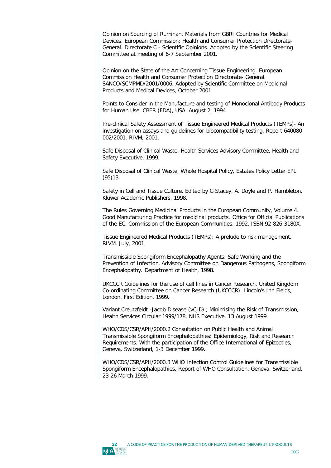Opinion on Sourcing of Ruminant Materials from GBRI Countries for Medical Devices. European Commission: Health and Consumer Protection Directorate-General. Directorate C - Scientific Opinions. Adopted by the Scientific Steering Committee at meeting of 6-7 September 2001.

Opinion on the State of the Art Concerning Tissue Engineering. European Commission Health and Consumer Protection Directorate- General. SANCO/SCMPMD/2001/0006. Adopted by Scientific Committee on Medicinal Products and Medical Devices, October 2001.

Points to Consider in the Manufacture and testing of Monoclonal Antibody Products for Human Use. CBER (FDA), USA. August 2, 1994.

Pre-clinical Safety Assessment of Tissue Engineered Medical Products (TEMPs)- An investigation on assays and guidelines for biocompatibility testing. Report 640080 002/2001. RIVM, 2001.

Safe Disposal of Clinical Waste. Health Services Advisory Committee, Health and Safety Executive, 1999.

Safe Disposal of Clinical Waste, Whole Hospital Policy, Estates Policy Letter EPL (95)13.

Safety in Cell and Tissue Culture. Edited by G Stacey, A. Doyle and P. Hambleton. Kluwer Academic Publishers, 1998.

The Rules Governing Medicinal Products in the European Community, Volume 4. Good Manufacturing Practice for medicinal products. Office for Official Publications of the EC, Commission of the European Communities. 1992. ISBN 92-826-3180X.

Tissue Engineered Medical Products (TEMPs): A prelude to risk management. RIVM. July, 2001

Transmissible Spongiform Encephalopathy Agents: Safe Working and the Prevention of Infection. Advisory Committee on Dangerous Pathogens, Spongiform Encephalopathy. Department of Health, 1998.

UKCCCR Guidelines for the use of cell lines in Cancer Research. United Kingdom Co-ordinating Committee on Cancer Research (UKCCCR). Lincoln's Inn Fields, London. First Edition, 1999.

Variant Creutzfeldt -Jacob Disease (vCJD) ; Minimising the Risk of Transmission, Health Services Circular 1999/178, NHS Executive, 13 August 1999.

WHO/CDS/CSR/APH/2000.2 Consultation on Public Health and Animal Transmissible Spongiform Encephalopathies: Epidemiology, Risk and Research Requirements. With the participation of the Office International of Epizooties, Geneva, Switzerland, 1-3 December 1999.

WHO/CDS/CSR/APH/2000.3 WHO Infection Control Guidelines for Transmissible Spongiform Encephalopathies. Report of WHO Consultation, Geneva, Switzerland, 23-26 March 1999.